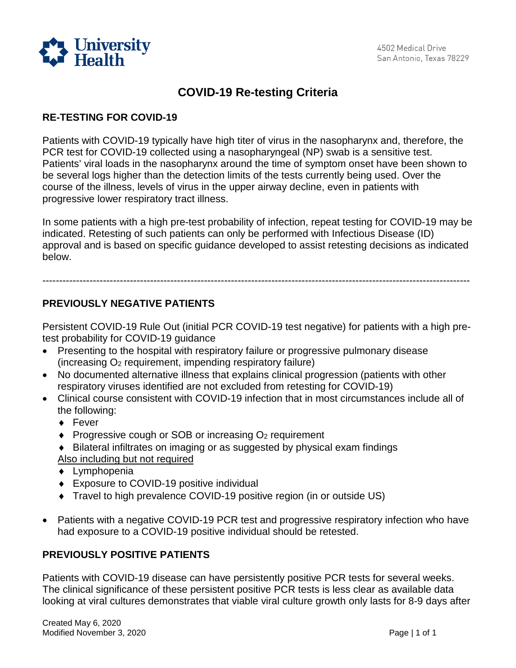

# **COVID-19 Re-testing Criteria**

### **RE-TESTING FOR COVID-19**

Patients with COVID-19 typically have high titer of virus in the nasopharynx and, therefore, the PCR test for COVID-19 collected using a nasopharyngeal (NP) swab is a sensitive test. Patients' viral loads in the nasopharynx around the time of symptom onset have been shown to be several logs higher than the detection limits of the tests currently being used. Over the course of the illness, levels of virus in the upper airway decline, even in patients with progressive lower respiratory tract illness.

In some patients with a high pre-test probability of infection, repeat testing for COVID-19 may be indicated. Retesting of such patients can only be performed with Infectious Disease (ID) approval and is based on specific guidance developed to assist retesting decisions as indicated below.

-------------------------------------------------------------------------------------------------------------------------------

# **PREVIOUSLY NEGATIVE PATIENTS**

Persistent COVID-19 Rule Out (initial PCR COVID-19 test negative) for patients with a high pretest probability for COVID-19 guidance

- Presenting to the hospital with respiratory failure or progressive pulmonary disease (increasing O2 requirement, impending respiratory failure)
- No documented alternative illness that explains clinical progression (patients with other respiratory viruses identified are not excluded from retesting for COVID-19)
- Clinical course consistent with COVID-19 infection that in most circumstances include all of the following:
	- ♦ Fever
	- $\bullet$  Progressive cough or SOB or increasing  $O<sub>2</sub>$  requirement
	- ♦ Bilateral infiltrates on imaging or as suggested by physical exam findings
	- Also including but not required
	- ♦ Lymphopenia
	- ♦ Exposure to COVID-19 positive individual
	- ♦ Travel to high prevalence COVID-19 positive region (in or outside US)
- Patients with a negative COVID-19 PCR test and progressive respiratory infection who have had exposure to a COVID-19 positive individual should be retested.

#### **PREVIOUSLY POSITIVE PATIENTS**

Patients with COVID-19 disease can have persistently positive PCR tests for several weeks. The clinical significance of these persistent positive PCR tests is less clear as available data looking at viral cultures demonstrates that viable viral culture growth only lasts for 8-9 days after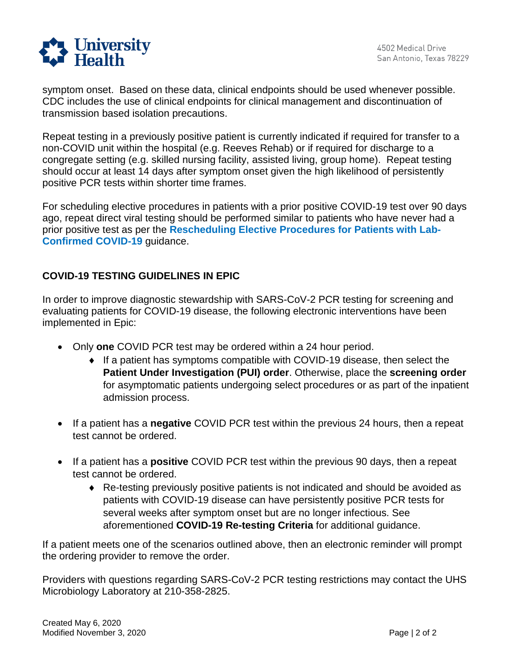

symptom onset. Based on these data, clinical endpoints should be used whenever possible. CDC includes the use of clinical endpoints for clinical management and discontinuation of transmission based isolation precautions.

 positive PCR tests within shorter time frames. Repeat testing in a previously positive patient is currently indicated if required for transfer to a non-COVID unit within the hospital (e.g. Reeves Rehab) or if required for discharge to a congregate setting (e.g. skilled nursing facility, assisted living, group home). Repeat testing should occur at least 14 days after symptom onset given the high likelihood of persistently

 **Confirmed COVID-19** guidance. For scheduling elective procedures in patients with a prior positive COVID-19 test over 90 days ago, repeat direct viral testing should be performed similar to patients who have never had a prior positive test as per the **[Rescheduling Elective Procedures for Patients with Lab-](https://www.universityhealthsystem.com/~/media/files/pdf/covid-19/rescheduling-elective-procedures-for-patients-with-lab-confirmed-covid-19-bja.pdf?la=en)**

## **COVID-19 TESTING GUIDELINES IN EPIC**

In order to improve diagnostic stewardship with SARS-CoV-2 PCR testing for screening and evaluating patients for COVID-19 disease, the following electronic interventions have been implemented in Epic:

- • Only **one** COVID PCR test may be ordered within a 24 hour period.
	- for asymptomatic patients undergoing select procedures or as part of the inpatient ♦ If a patient has symptoms compatible with COVID-19 disease, then select the **Patient Under Investigation (PUI) order**. Otherwise, place the **screening order**  admission process.
- If a patient has a **negative** COVID PCR test within the previous 24 hours, then a repeat test cannot be ordered.
- If a patient has a **positive** COVID PCR test within the previous 90 days, then a repeat test cannot be ordered.
	- patients with COVID-19 disease can have persistently positive PCR tests for several weeks after symptom onset but are no longer infectious. See ♦ Re-testing previously positive patients is not indicated and should be avoided as aforementioned **COVID-19 Re-testing Criteria** for additional guidance.

If a patient meets one of the scenarios outlined above, then an electronic reminder will prompt the ordering provider to remove the order.

Providers with questions regarding SARS-CoV-2 PCR testing restrictions may contact the UHS Microbiology Laboratory at 210-358-2825.